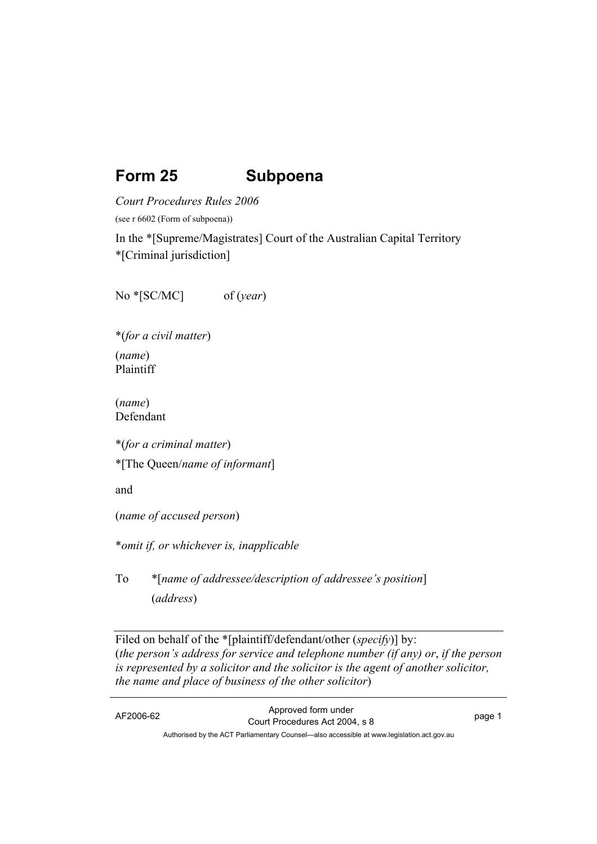# **Form 25 Subpoena**

*Court Procedures Rules 2006* 

(see r 6602 (Form of subpoena))

In the \*[Supreme/Magistrates] Court of the Australian Capital Territory \*[Criminal jurisdiction]

No \*[SC/MC] of (*year*)

\*(*for a civil matter*) (*name*) Plaintiff

(*name*) Defendant

\*(*for a criminal matter*)

\*[The Queen/*name of informant*]

and

(*name of accused person*)

\**omit if, or whichever is, inapplicable* 

To \*[*name of addressee/description of addressee's position*] (*address*)

Filed on behalf of the \*[plaintiff/defendant/other (*specify*)] by: (*the person's address for service and telephone number (if any) or*, *if the person is represented by a solicitor and the solicitor is the agent of another solicitor, the name and place of business of the other solicitor*)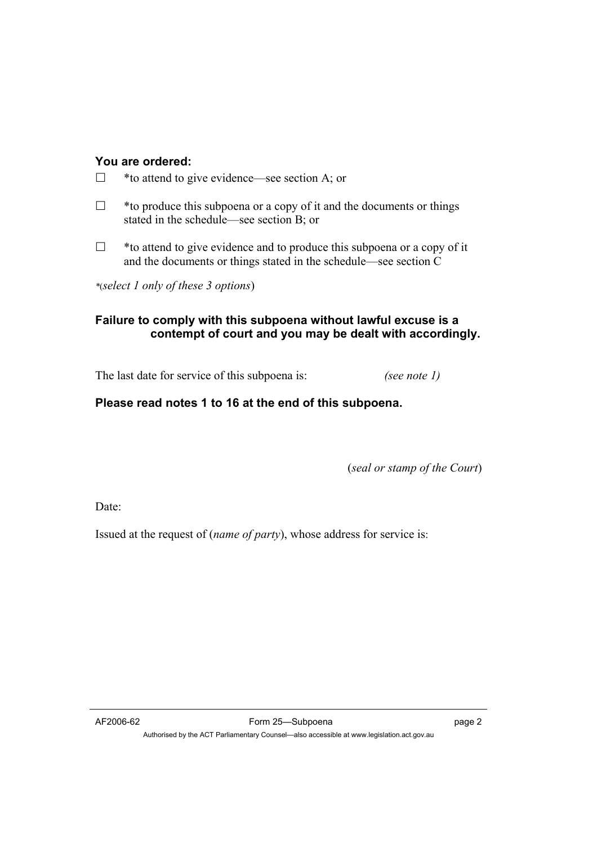#### **You are ordered:**

- \*to attend to give evidence—see section A; or
- $\Box$  \* to produce this subpoena or a copy of it and the documents or things stated in the schedule—see section B; or
- $\Box$  \* to attend to give evidence and to produce this subpoena or a copy of it and the documents or things stated in the schedule—see section C

*\**(*select 1 only of these 3 options*)

# **Failure to comply with this subpoena without lawful excuse is a contempt of court and you may be dealt with accordingly.**

The last date for service of this subpoena is: *(see note 1)* 

# **Please read notes 1 to 16 at the end of this subpoena.**

(*seal or stamp of the Court*)

Date:

Issued at the request of (*name of party*), whose address for service is: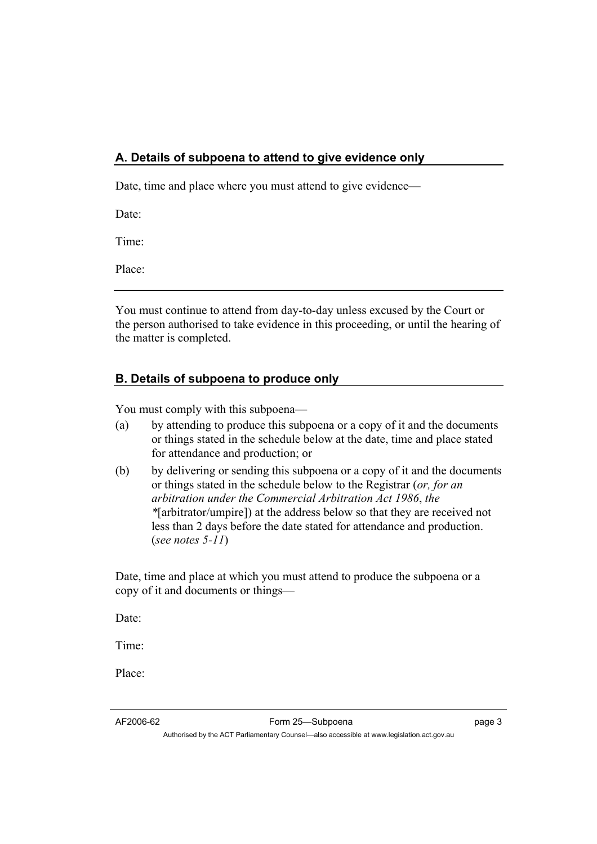### **A. Details of subpoena to attend to give evidence only**

Date, time and place where you must attend to give evidence—

Date:

Time:

Place:

You must continue to attend from day-to-day unless excused by the Court or the person authorised to take evidence in this proceeding, or until the hearing of the matter is completed.

## **B. Details of subpoena to produce only**

You must comply with this subpoena—

- (a) by attending to produce this subpoena or a copy of it and the documents or things stated in the schedule below at the date, time and place stated for attendance and production; or
- (b) by delivering or sending this subpoena or a copy of it and the documents or things stated in the schedule below to the Registrar (*or, for an arbitration under the Commercial Arbitration Act 1986*, *the \**[arbitrator/umpire]) at the address below so that they are received not less than 2 days before the date stated for attendance and production. (*see notes 5-11*)

Date, time and place at which you must attend to produce the subpoena or a copy of it and documents or things—

Date:

Time:

Place: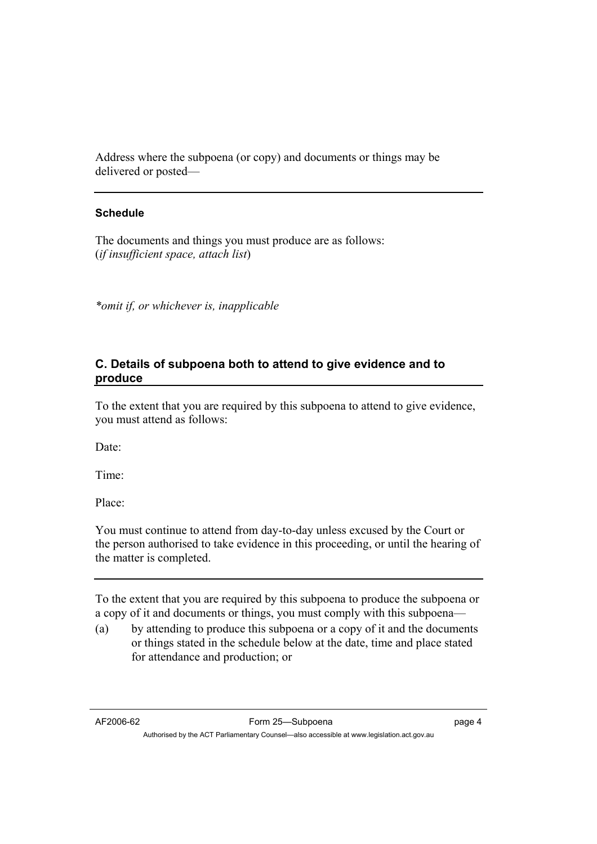Address where the subpoena (or copy) and documents or things may be delivered or posted—

#### **Schedule**

The documents and things you must produce are as follows: (*if insufficient space, attach list*)

*\*omit if, or whichever is, inapplicable*

### **C. Details of subpoena both to attend to give evidence and to produce**

To the extent that you are required by this subpoena to attend to give evidence, you must attend as follows:

Date<sup>-</sup>

Time:

Place:

You must continue to attend from day-to-day unless excused by the Court or the person authorised to take evidence in this proceeding, or until the hearing of the matter is completed.

To the extent that you are required by this subpoena to produce the subpoena or a copy of it and documents or things, you must comply with this subpoena—

(a) by attending to produce this subpoena or a copy of it and the documents or things stated in the schedule below at the date, time and place stated for attendance and production; or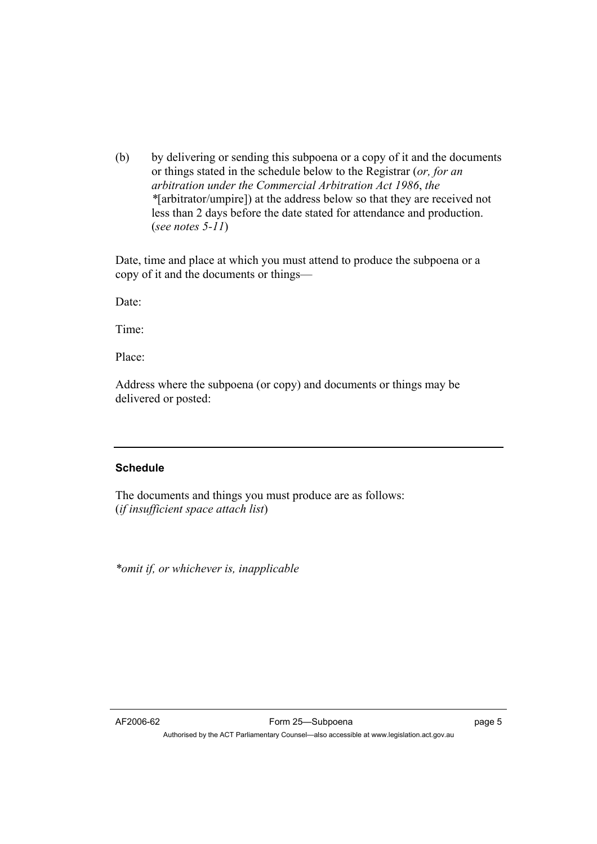(b) by delivering or sending this subpoena or a copy of it and the documents or things stated in the schedule below to the Registrar (*or, for an arbitration under the Commercial Arbitration Act 1986*, *the \**[arbitrator/umpire]) at the address below so that they are received not less than 2 days before the date stated for attendance and production. (*see notes 5-11*)

Date, time and place at which you must attend to produce the subpoena or a copy of it and the documents or things—

Date:

Time:

Place:

Address where the subpoena (or copy) and documents or things may be delivered or posted:

#### **Schedule**

The documents and things you must produce are as follows: (*if insufficient space attach list*)

*\*omit if, or whichever is, inapplicable*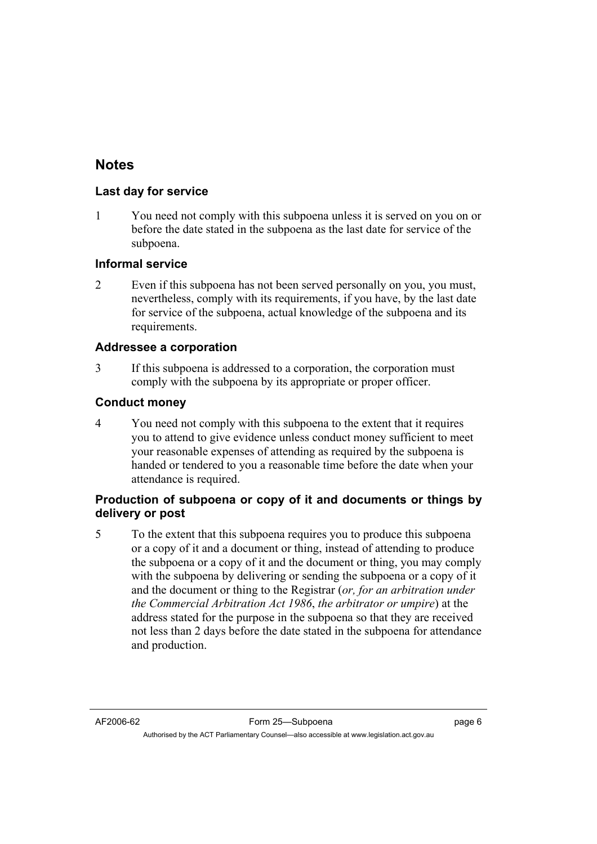# **Notes**

#### **Last day for service**

1 You need not comply with this subpoena unless it is served on you on or before the date stated in the subpoena as the last date for service of the subpoena.

#### **Informal service**

2 Even if this subpoena has not been served personally on you, you must, nevertheless, comply with its requirements, if you have, by the last date for service of the subpoena, actual knowledge of the subpoena and its requirements.

#### **Addressee a corporation**

3 If this subpoena is addressed to a corporation, the corporation must comply with the subpoena by its appropriate or proper officer.

#### **Conduct money**

4 You need not comply with this subpoena to the extent that it requires you to attend to give evidence unless conduct money sufficient to meet your reasonable expenses of attending as required by the subpoena is handed or tendered to you a reasonable time before the date when your attendance is required.

### **Production of subpoena or copy of it and documents or things by delivery or post**

5 To the extent that this subpoena requires you to produce this subpoena or a copy of it and a document or thing, instead of attending to produce the subpoena or a copy of it and the document or thing, you may comply with the subpoena by delivering or sending the subpoena or a copy of it and the document or thing to the Registrar (*or, for an arbitration under the Commercial Arbitration Act 1986*, *the arbitrator or umpire*) at the address stated for the purpose in the subpoena so that they are received not less than 2 days before the date stated in the subpoena for attendance and production.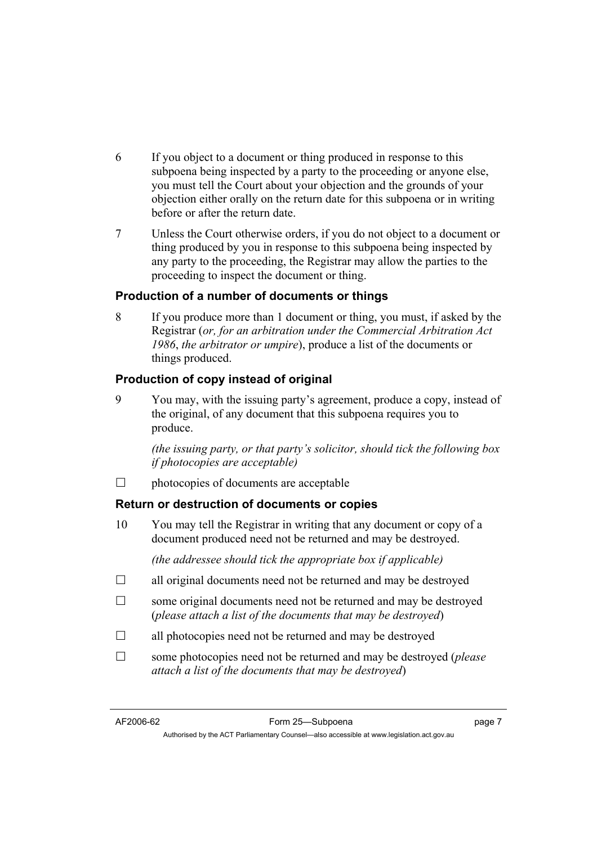- 6 If you object to a document or thing produced in response to this subpoena being inspected by a party to the proceeding or anyone else, you must tell the Court about your objection and the grounds of your objection either orally on the return date for this subpoena or in writing before or after the return date.
- 7 Unless the Court otherwise orders, if you do not object to a document or thing produced by you in response to this subpoena being inspected by any party to the proceeding, the Registrar may allow the parties to the proceeding to inspect the document or thing.

#### **Production of a number of documents or things**

8 If you produce more than 1 document or thing, you must, if asked by the Registrar (*or, for an arbitration under the Commercial Arbitration Act 1986*, *the arbitrator or umpire*), produce a list of the documents or things produced.

### **Production of copy instead of original**

9 You may, with the issuing party's agreement, produce a copy, instead of the original, of any document that this subpoena requires you to produce.

*(the issuing party, or that party's solicitor, should tick the following box if photocopies are acceptable)*

 $\Box$  photocopies of documents are acceptable

#### **Return or destruction of documents or copies**

10 You may tell the Registrar in writing that any document or copy of a document produced need not be returned and may be destroyed.

 *(the addressee should tick the appropriate box if applicable)* 

- $\Box$  all original documents need not be returned and may be destroyed
- $\Box$  some original documents need not be returned and may be destroyed (*please attach a list of the documents that may be destroyed*)
- $\Box$  all photocopies need not be returned and may be destroyed
- some photocopies need not be returned and may be destroyed (*please attach a list of the documents that may be destroyed*)